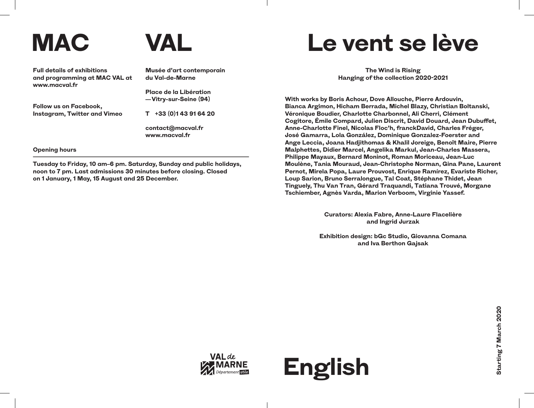## **MAC VAL**



**Full details of exhibitions and programming at MAC VAL at www.macval.fr**

**Musée d'art contemporain du Val-de-Marne**

**Place de la Libération — Vitry-sur-Seine (94)**

**Follow us on Facebook, Instagram, Twitter and Vimeo** **T +33 (0)1 43 91 64 20**

**contact@macval.fr www.macval.fr**

## **Opening hours**

**Tuesday to Friday, 10 am–6 pm. Saturday, Sunday and public holidays, noon to 7 pm. Last admissions 30 minutes before closing. Closed on 1 January, 1 May, 15 August and 25 December.**

## **Le vent se lève**

**The Wind is Rising Hanging of the collection 2020-2021**

**With works by Boris Achour, Dove Allouche, Pierre Ardouvin, Bianca Argimon, Hicham Berrada, Michel Blazy, Christian Boltanski, Véronique Boudier, Charlotte Charbonnel, Ali Cherri, Clément Cogitore, Émile Compard, Julien Discrit, David Douard, Jean Dubuffet, Anne-Charlotte Finel, Nicolas Floc'h, franckDavid, Charles Fréger, José Gamarra, Lola González, Dominique Gonzalez-Foerster and Ange Leccia, Joana Hadjithomas & Khalil Joreige, Benoît Maire, Pierre Malphettes, Didier Marcel, Angelika Markul, Jean-Charles Massera, Philippe Mayaux, Bernard Moninot, Roman Moriceau, Jean-Luc Moulène, Tania Mouraud, Jean-Christophe Norman, Gina Pane, Laurent Pernot, Mirela Popa, Laure Prouvost, Enrique Ramírez, Evariste Richer, Loup Sarion, Bruno Serralongue, Tal Coat, Stéphane Thidet, Jean Tinguely, Thu Van Tran, Gérard Traquandi, Tatiana Trouvé, Morgane Tschiember, Agnès Varda, Marion Verboom, Virginie Yassef.**

> **Curators: Alexia Fabre, Anne-Laure Flacelière and Ingrid Jurzak**

**Exhibition design: bGc Studio, Giovanna Comana and Iva Berthon Gajsak**

**English**